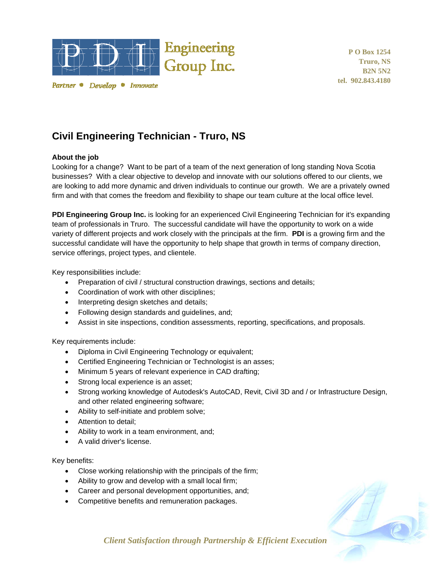

Partner • Develop • Innovate

**P O Box 1254 Truro, NS B2N 5N2 tel. 902.843.4180** 

## **Civil Engineering Technician - Truro, NS**

## **About the job**

Looking for a change? Want to be part of a team of the next generation of long standing Nova Scotia businesses? With a clear objective to develop and innovate with our solutions offered to our clients, we are looking to add more dynamic and driven individuals to continue our growth. We are a privately owned firm and with that comes the freedom and flexibility to shape our team culture at the local office level.

**PDI Engineering Group Inc.** is looking for an experienced Civil Engineering Technician for it's expanding team of professionals in Truro. The successful candidate will have the opportunity to work on a wide variety of different projects and work closely with the principals at the firm. **PDI** is a growing firm and the successful candidate will have the opportunity to help shape that growth in terms of company direction, service offerings, project types, and clientele.

Key responsibilities include:

- Preparation of civil / structural construction drawings, sections and details;
- Coordination of work with other disciplines;
- Interpreting design sketches and details;
- Following design standards and quidelines, and;
- Assist in site inspections, condition assessments, reporting, specifications, and proposals.

Key requirements include:

- Diploma in Civil Engineering Technology or equivalent;
- Certified Engineering Technician or Technologist is an asses;
- Minimum 5 years of relevant experience in CAD drafting;
- Strong local experience is an asset;
- Strong working knowledge of Autodesk's AutoCAD, Revit, Civil 3D and / or Infrastructure Design, and other related engineering software;
- Ability to self-initiate and problem solve;
- Attention to detail;
- Ability to work in a team environment, and;
- A valid driver's license.

Key benefits:

- Close working relationship with the principals of the firm;
- Ability to grow and develop with a small local firm;
- Career and personal development opportunities, and;
- Competitive benefits and remuneration packages.



*Client Satisfaction through Partnership & Efficient Execution*